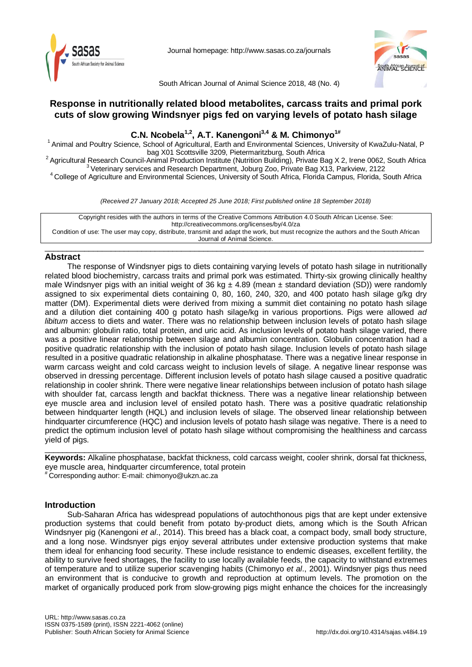

Journal homepage:<http://www.sasas.co.za/journals>



South African Journal of Animal Science 2018, 48 (No. 4)

# **Response in nutritionally related blood metabolites, carcass traits and primal pork cuts of slow growing Windsnyer pigs fed on varying levels of potato hash silage**

# **C.N. Ncobela1,2 , A.T. Kanengoni3,4 & M. Chimonyo1#**

<sup>1</sup> Animal and Poultry Science, School of Agricultural, Earth and Environmental Sciences, University of KwaZulu-Natal, P<br>bag X01 Scottsville 3209, Pietermaritzburg, South Africa

<sup>2</sup> Agricultural Research Council-Animal Production Institute (Nutrition Building), Private Bag X 2, Irene 0062, South Africa<br><sup>3</sup> Veterinary services and Research Department, Joburg Zoo, Private Bag X13, Parkview, 2122<br><sup>4</sup>

*(Received 27 January 2018; Accepted 25 June 2018; First published online 18 September 2018)*

Copyright resides with the authors in terms of the Creative Commons Attribution 4.0 South African License. See: <http://creativecommons.org/licenses/by/4.0/za> Condition of use: The user may copy, distribute, transmit and adapt the work, but must recognize the authors and the South African Journal of Animal Science.

 $\_$  , and the set of the set of the set of the set of the set of the set of the set of the set of the set of the set of the set of the set of the set of the set of the set of the set of the set of the set of the set of th

## **Abstract**

The response of Windsnyer pigs to diets containing varying levels of potato hash silage in nutritionally related blood biochemistry, carcass traits and primal pork was estimated. Thirty-six growing clinically healthy male Windsnyer pigs with an initial weight of 36 kg  $\pm$  4.89 (mean  $\pm$  standard deviation (SD)) were randomly assigned to six experimental diets containing 0, 80, 160, 240, 320, and 400 potato hash silage g/kg dry matter (DM). Experimental diets were derived from mixing a summit diet containing no potato hash silage and a dilution diet containing 400 g potato hash silage/kg in various proportions. Pigs were allowed *ad libitum* access to diets and water. There was no relationship between inclusion levels of potato hash silage and albumin: globulin ratio, total protein, and uric acid. As inclusion levels of potato hash silage varied, there was a positive linear relationship between silage and albumin concentration. Globulin concentration had a positive quadratic relationship with the inclusion of potato hash silage. Inclusion levels of potato hash silage resulted in a positive quadratic relationship in alkaline phosphatase. There was a negative linear response in warm carcass weight and cold carcass weight to inclusion levels of silage. A negative linear response was observed in dressing percentage. Different inclusion levels of potato hash silage caused a positive quadratic relationship in cooler shrink. There were negative linear relationships between inclusion of potato hash silage with shoulder fat, carcass length and backfat thickness. There was a negative linear relationship between eye muscle area and inclusion level of ensiled potato hash. There was a positive quadratic relationship between hindquarter length (HQL) and inclusion levels of silage. The observed linear relationship between hindquarter circumference (HQC) and inclusion levels of potato hash silage was negative. There is a need to predict the optimum inclusion level of potato hash silage without compromising the healthiness and carcass yield of pigs.

 $\_$  ,  $\_$  ,  $\_$  ,  $\_$  ,  $\_$  ,  $\_$  ,  $\_$  ,  $\_$  ,  $\_$  ,  $\_$  ,  $\_$  ,  $\_$  ,  $\_$  ,  $\_$  ,  $\_$  ,  $\_$  ,  $\_$  ,  $\_$  ,  $\_$  ,  $\_$  ,  $\_$  ,  $\_$  ,  $\_$  ,  $\_$  ,  $\_$  ,  $\_$  ,  $\_$  ,  $\_$  ,  $\_$  ,  $\_$  ,  $\_$  ,  $\_$  ,  $\_$  ,  $\_$  ,  $\_$  ,  $\_$  ,  $\_$  , **Keywords:** Alkaline phosphatase, backfat thickness, cold carcass weight, cooler shrink, dorsal fat thickness, eye muscle area, hindquarter circumference, total protein # Corresponding author: E-mail: chimonyo@ukzn.ac.za

## **Introduction**

Sub-Saharan Africa has widespread populations of autochthonous pigs that are kept under extensive production systems that could benefit from potato by-product diets, among which is the South African Windsnyer pig (Kanengoni *et al*., 2014). This breed has a black coat, a compact body, small body structure, and a long nose. Windsnyer pigs enjoy several attributes under extensive production systems that make them ideal for enhancing food security. These include resistance to endemic diseases, excellent fertility, the ability to survive feed shortages, the facility to use locally available feeds, the capacity to withstand extremes of temperature and to utilize superior scavenging habits (Chimonyo *et al*., 2001). Windsnyer pigs thus need an environment that is conducive to growth and reproduction at optimum levels. The promotion on the market of organically produced pork from slow-growing pigs might enhance the choices for the increasingly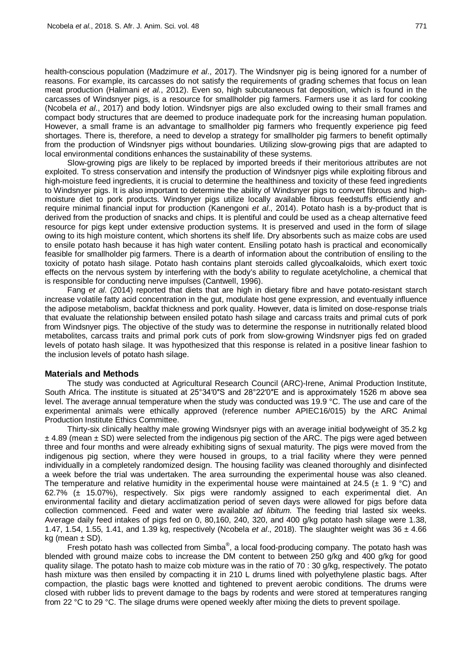health-conscious population (Madzimure *et al*., 2017). The Windsnyer pig is being ignored for a number of reasons. For example, its carcasses do not satisfy the requirements of grading schemes that focus on lean meat production (Halimani *et al.*, 2012). Even so, high subcutaneous fat deposition, which is found in the carcasses of Windsnyer pigs, is a resource for smallholder pig farmers. Farmers use it as lard for cooking (Ncobela *et al*., 2017) and body lotion. Windsnyer pigs are also excluded owing to their small frames and compact body structures that are deemed to produce inadequate pork for the increasing human population. However, a small frame is an advantage to smallholder pig farmers who frequently experience pig feed shortages. There is, therefore, a need to develop a strategy for smallholder pig farmers to benefit optimally from the production of Windsnyer pigs without boundaries. Utilizing slow-growing pigs that are adapted to local environmental conditions enhances the sustainability of these systems.

Slow-growing pigs are likely to be replaced by imported breeds if their meritorious attributes are not exploited. To stress conservation and intensify the production of Windsnyer pigs while exploiting fibrous and high-moisture feed ingredients, it is crucial to determine the healthiness and toxicity of these feed ingredients to Windsnyer pigs. It is also important to determine the ability of Windsnyer pigs to convert fibrous and highmoisture diet to pork products. Windsnyer pigs utilize locally available fibrous feedstuffs efficiently and require minimal financial input for production (Kanengoni *et al*., 2014). Potato hash is a by-product that is derived from the production of snacks and chips. It is plentiful and could be used as a cheap alternative feed resource for pigs kept under extensive production systems. It is preserved and used in the form of silage owing to its high moisture content, which shortens its shelf life. Dry absorbents such as maize cobs are used to ensile potato hash because it has high water content. Ensiling potato hash is practical and economically feasible for smallholder pig farmers. There is a dearth of information about the contribution of ensiling to the toxicity of potato hash silage. Potato hash contains plant steroids called glycoalkaloids, which exert toxic effects on the nervous system by interfering with the body's ability to regulate acetylcholine, a chemical that is responsible for conducting nerve impulses (Cantwell, 1996).

Fang *et al*. (2014) reported that diets that are high in dietary fibre and have potato-resistant starch increase volatile fatty acid concentration in the gut, modulate host gene expression, and eventually influence the adipose metabolism, backfat thickness and pork quality. However, data is limited on dose-response trials that evaluate the relationship between ensiled potato hash silage and carcass traits and primal cuts of pork from Windsnyer pigs. The objective of the study was to determine the response in nutritionally related blood metabolites, carcass traits and primal pork cuts of pork from slow-growing Windsnyer pigs fed on graded levels of potato hash silage. It was hypothesized that this response is related in a positive linear fashion to the inclusion levels of potato hash silage.

## **Materials and Methods**

The study was conducted at Agricultural Research Council (ARC)-Irene, Animal Production Institute, South Africa. The institute is situated at 25°34′0″S and 28°22′0″E and is approximately 1526 m above sea level. The average annual temperature when the study was conducted was 19.9 °C. The use and care of the experimental animals were ethically approved (reference number APIEC16/015) by the ARC Animal Production Institute Ethics Committee.

Thirty-six clinically healthy male growing Windsnyer pigs with an average initial bodyweight of 35.2 kg  $\pm$  4.89 (mean  $\pm$  SD) were selected from the indigenous pig section of the ARC. The pigs were aged between three and four months and were already exhibiting signs of sexual maturity. The pigs were moved from the indigenous pig section, where they were housed in groups, to a trial facility where they were penned individually in a completely randomized design. The housing facility was cleaned thoroughly and disinfected a week before the trial was undertaken. The area surrounding the experimental house was also cleaned. The temperature and relative humidity in the experimental house were maintained at 24.5 ( $\pm$  1. 9 °C) and 62.7% ( $\pm$  15.07%), respectively. Six pigs were randomly assigned to each experimental diet. An environmental facility and dietary acclimatization period of seven days were allowed for pigs before data collection commenced. Feed and water were available *ad libitum.* The feeding trial lasted six weeks. Average daily feed intakes of pigs fed on 0, 80,160, 240, 320, and 400 g/kg potato hash silage were 1.38, 1.47, 1.54, 1.55, 1.41, and 1.39 kg, respectively (Ncobela *et al*., 2018). The slaughter weight was 36 ± 4.66 kg (mean  $\pm$  SD).

Fresh potato hash was collected from Simba®, a local food-producing company. The potato hash was blended with ground maize cobs to increase the DM content to between 250 g/kg and 400 g/kg for good quality silage. The potato hash to maize cob mixture was in the ratio of 70 : 30 g/kg, respectively. The potato hash mixture was then ensiled by compacting it in 210 L drums lined with polyethylene plastic bags. After compaction, the plastic bags were knotted and tightened to prevent aerobic conditions. The drums were closed with rubber lids to prevent damage to the bags by rodents and were stored at temperatures ranging from 22 °C to 29 °C. The silage drums were opened weekly after mixing the diets to prevent spoilage.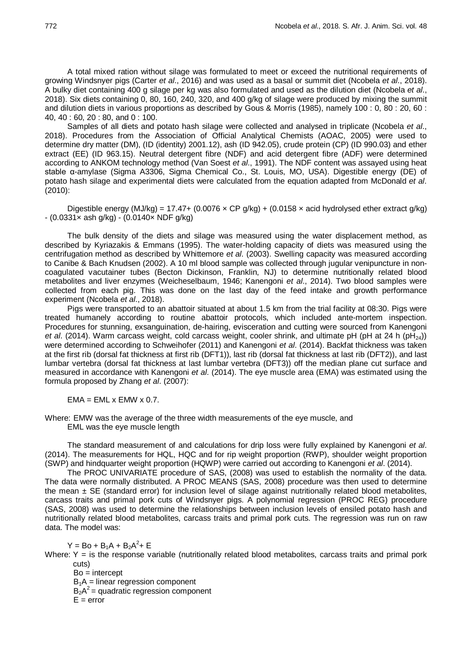A total mixed ration without silage was formulated to meet or exceed the nutritional requirements of growing Windsnyer pigs (Carter *et al*., 2016) and was used as a basal or summit diet (Ncobela *et al*., 2018). A bulky diet containing 400 g silage per kg was also formulated and used as the dilution diet (Ncobela *et al*., 2018). Six diets containing 0, 80, 160, 240, 320, and 400 g/kg of silage were produced by mixing the summit and dilution diets in various proportions as described by Gous & Morris (1985), namely 100 : 0, 80 : 20, 60 : 40, 40 : 60, 20 : 80, and 0 : 100.

Samples of all diets and potato hash silage were collected and analysed in triplicate (Ncobela *et al*., 2018). Procedures from the Association of Official Analytical Chemists (AOAC, 2005) were used to determine dry matter (DM), (ID (identity) 2001.12), ash (ID 942.05), crude protein (CP) (ID 990.03) and ether extract (EE) (ID 963.15). Neutral detergent fibre (NDF) and acid detergent fibre (ADF) were determined according to ANKOM technology method (Van Soest *et al*., 1991). The NDF content was assayed using heat stable α-amylase (Sigma A3306, Sigma Chemical Co., St. Louis, MO, USA). Digestible energy (DE) of potato hash silage and experimental diets were calculated from the equation adapted from McDonald *et al*. (2010):

Digestible energy (MJ/kg) = 17.47+ (0.0076 x CP g/kg) + (0.0158 x acid hydrolysed ether extract g/kg)  $-(0.0331 \times$  ash g/kg) -  $(0.0140 \times$  NDF g/kg)

The bulk density of the diets and silage was measured using the water displacement method, as described by Kyriazakis & Emmans (1995). The water-holding capacity of diets was measured using the centrifugation method as described by Whittemore *et al*. (2003). Swelling capacity was measured according to Canibe & Bach Knudsen (2002). A 10 ml blood sample was collected through jugular venipuncture in noncoagulated vacutainer tubes (Becton Dickinson, Franklin, NJ) to determine nutritionally related blood metabolites and liver enzymes (Weicheselbaum, 1946; Kanengoni *et al*., 2014). Two blood samples were collected from each pig. This was done on the last day of the feed intake and growth performance experiment (Ncobela *et al*., 2018).

Pigs were transported to an abattoir situated at about 1.5 km from the trial facility at 08:30. Pigs were treated humanely according to routine abattoir protocols, which included ante-mortem inspection. Procedures for stunning, exsanguination, de-hairing, evisceration and cutting were sourced from Kanengoni *et al.* (2014). Warm carcass weight, cold carcass weight, cooler shrink, and ultimate pH (pH at 24 h (pH<sub>24</sub>)) were determined according to Schweihofer (2011) and Kanengoni *et al*. (2014). Backfat thickness was taken at the first rib (dorsal fat thickness at first rib (DFT1)), last rib (dorsal fat thickness at last rib (DFT2)), and last lumbar vertebra (dorsal fat thickness at last lumbar vertebra (DFT3)) off the median plane cut surface and measured in accordance with Kanengoni *et al*. (2014). The eye muscle area (EMA) was estimated using the formula proposed by Zhang *et al*. (2007):

 $EMA = EML \times EMW \times 0.7$ .

Where: EMW was the average of the three width measurements of the eye muscle, and EML was the eye muscle length

The standard measurement of and calculations for drip loss were fully explained by Kanengoni *et al*. (2014). The measurements for HQL, HQC and for rip weight proportion (RWP), shoulder weight proportion (SWP) and hindquarter weight proportion (HQWP) were carried out according to Kanengoni *et al*. (2014).

The PROC UNIVARIATE procedure of SAS, (2008) was used to establish the normality of the data. The data were normally distributed. A PROC MEANS (SAS, 2008) procedure was then used to determine the mean  $\pm$  SE (standard error) for inclusion level of silage against nutritionally related blood metabolites, carcass traits and primal pork cuts of Windsnyer pigs. A polynomial regression (PROC REG) procedure (SAS, 2008) was used to determine the relationships between inclusion levels of ensiled potato hash and nutritionally related blood metabolites, carcass traits and primal pork cuts. The regression was run on raw data. The model was:

 $Y = Bo + B_1A + B_2A^2 + E$ 

Where:  $Y =$  is the response variable (nutritionally related blood metabolites, carcass traits and primal pork cuts)

 $Bo =$  intercept  $B_1A =$  linear regression component  $B_2A^2$  = quadratic regression component  $E = error$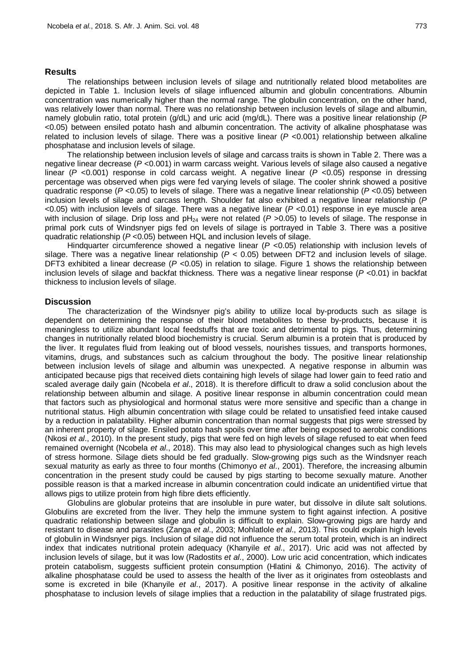### **Results**

The relationships between inclusion levels of silage and nutritionally related blood metabolites are depicted in Table 1. Inclusion levels of silage influenced albumin and globulin concentrations. Albumin concentration was numerically higher than the normal range. The globulin concentration, on the other hand, was relatively lower than normal. There was no relationship between inclusion levels of silage and albumin, namely globulin ratio, total protein (g/dL) and uric acid (mg/dL). There was a positive linear relationship (*P* <0.05) between ensiled potato hash and albumin concentration. The activity of alkaline phosphatase was related to inclusion levels of silage. There was a positive linear (*P* <0.001) relationship between alkaline phosphatase and inclusion levels of silage.

The relationship between inclusion levels of silage and carcass traits is shown in Table 2. There was a negative linear decrease (*P* <0.001) in warm carcass weight. Various levels of silage also caused a negative linear (*P* <0.001) response in cold carcass weight. A negative linear (*P* <0.05) response in dressing percentage was observed when pigs were fed varying levels of silage. The cooler shrink showed a positive quadratic response (*P* <0.05) to levels of silage. There was a negative linear relationship (*P* <0.05) between inclusion levels of silage and carcass length. Shoulder fat also exhibited a negative linear relationship (*P* <0.05) with inclusion levels of silage. There was a negative linear (*P* <0.01) response in eye muscle area with inclusion of silage. Drip loss and  $pH_{24}$  were not related ( $P > 0.05$ ) to levels of silage. The response in primal pork cuts of Windsnyer pigs fed on levels of silage is portrayed in Table 3. There was a positive quadratic relationship (*P* <0.05) between HQL and inclusion levels of silage.

Hindquarter circumference showed a negative linear ( $P$  <0.05) relationship with inclusion levels of silage. There was a negative linear relationship (*P* < 0.05) between DFT2 and inclusion levels of silage. DFT3 exhibited a linear decrease (*P* <0.05) in relation to silage. Figure 1 shows the relationship between inclusion levels of silage and backfat thickness. There was a negative linear response (*P* <0.01) in backfat thickness to inclusion levels of silage.

### **Discussion**

The characterization of the Windsnyer pig's ability to utilize local by-products such as silage is dependent on determining the response of their blood metabolites to these by-products, because it is meaningless to utilize abundant local feedstuffs that are toxic and detrimental to pigs. Thus, determining changes in nutritionally related blood biochemistry is crucial. Serum albumin is a protein that is produced by the liver. It regulates fluid from leaking out of blood vessels, nourishes tissues, and transports hormones, vitamins, drugs, and substances such as calcium throughout the body. The positive linear relationship between inclusion levels of silage and albumin was unexpected. A negative response in albumin was anticipated because pigs that received diets containing high levels of silage had lower gain to feed ratio and scaled average daily gain (Ncobela *et al*., 2018). It is therefore difficult to draw a solid conclusion about the relationship between albumin and silage. A positive linear response in albumin concentration could mean that factors such as physiological and hormonal status were more sensitive and specific than a change in nutritional status. High albumin concentration with silage could be related to unsatisfied feed intake caused by a reduction in palatability. Higher albumin concentration than normal suggests that pigs were stressed by an inherent property of silage. Ensiled potato hash spoils over time after being exposed to aerobic conditions (Nkosi *et al*., 2010). In the present study, pigs that were fed on high levels of silage refused to eat when feed remained overnight (Ncobela *et al*., 2018). This may also lead to physiological changes such as high levels of stress hormone. Silage diets should be fed gradually. Slow-growing pigs such as the Windsnyer reach sexual maturity as early as three to four months (Chimonyo *et al*., 2001). Therefore, the increasing albumin concentration in the present study could be caused by pigs starting to become sexually mature. Another possible reason is that a marked increase in albumin concentration could indicate an unidentified virtue that allows pigs to utilize protein from high fibre diets efficiently.

Globulins are globular proteins that are insoluble in pure water, but dissolve in dilute salt solutions. Globulins are excreted from the liver. They help the immune system to fight against infection. A positive quadratic relationship between silage and globulin is difficult to explain. Slow-growing pigs are hardy and resistant to disease and parasites (Zanga *et al*., 2003; Mohlatlole *et al*., 2013). This could explain high levels of globulin in Windsnyer pigs. Inclusion of silage did not influence the serum total protein, which is an indirect index that indicates nutritional protein adequacy (Khanyile *et al*., 2017). Uric acid was not affected by inclusion levels of silage, but it was low (Radostits *et al*., 2000). Low uric acid concentration, which indicates protein catabolism, suggests sufficient protein consumption (Hlatini & Chimonyo, 2016). The activity of alkaline phosphatase could be used to assess the health of the liver as it originates from osteoblasts and some is excreted in bile (Khanyile *et al*., 2017). A positive linear response in the activity of alkaline phosphatase to inclusion levels of silage implies that a reduction in the palatability of silage frustrated pigs.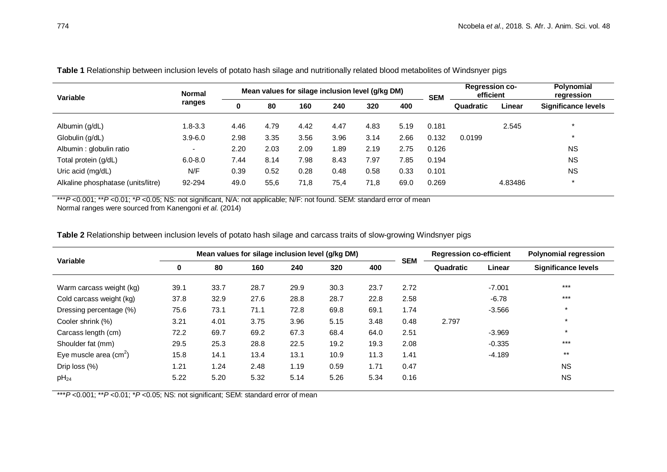| Variable                           | <b>Normal</b><br>ranges  | Mean values for silage inclusion level (g/kg DM) |      |      |      |      |      | <b>SEM</b> | <b>Regression co-</b><br>efficient |         | Polynomial<br>regression |
|------------------------------------|--------------------------|--------------------------------------------------|------|------|------|------|------|------------|------------------------------------|---------|--------------------------|
|                                    |                          | 0                                                | 80   | 160  | 240  | 320  | 400  |            | Quadratic                          | Linear  | Significance levels      |
| Albumin (g/dL)                     | $1.8 - 3.3$              | 4.46                                             | 4.79 | 4.42 | 4.47 | 4.83 | 5.19 | 0.181      |                                    | 2.545   | $\star$                  |
| Globulin (g/dL)                    | $3.9 - 6.0$              | 2.98                                             | 3.35 | 3.56 | 3.96 | 3.14 | 2.66 | 0.132      | 0.0199                             |         | $\star$                  |
| Albumin: globulin ratio            | $\overline{\phantom{0}}$ | 2.20                                             | 2.03 | 2.09 | 1.89 | 2.19 | 2.75 | 0.126      |                                    |         | <b>NS</b>                |
| Total protein (g/dL)               | $6.0 - 8.0$              | 7.44                                             | 8.14 | 7.98 | 8.43 | 7.97 | 7.85 | 0.194      |                                    |         | <b>NS</b>                |
| Uric acid (mg/dL)                  | N/F                      | 0.39                                             | 0.52 | 0.28 | 0.48 | 0.58 | 0.33 | 0.101      |                                    |         | <b>NS</b>                |
| Alkaline phosphatase (units/litre) | 92-294                   | 49.0                                             | 55,6 | 71,8 | 75,4 | 71,8 | 69.0 | 0.269      |                                    | 4.83486 | $\star$                  |

**Table 1** Relationship between inclusion levels of potato hash silage and nutritionally related blood metabolites of Windsnyer pigs

\*\*\**P* <0.001; \*\**P* <0.01; \**P* <0.05; NS: not significant, N/A: not applicable; N/F: not found. SEM: standard error of mean

Normal ranges were sourced from Kanengoni *et al*. (2014)

**Table 2** Relationship between inclusion levels of potato hash silage and carcass traits of slow-growing Windsnyer pigs

| Variable                 | Mean values for silage inclusion level (g/kg DM) |      |      |      |      |      |            | <b>Regression co-efficient</b> |          | <b>Polynomial regression</b> |
|--------------------------|--------------------------------------------------|------|------|------|------|------|------------|--------------------------------|----------|------------------------------|
|                          | 0                                                | 80   | 160  | 240  | 320  | 400  | <b>SEM</b> | Quadratic                      | Linear   | <b>Significance levels</b>   |
| Warm carcass weight (kg) | 39.1                                             | 33.7 | 28.7 | 29.9 | 30.3 | 23.7 | 2.72       |                                | $-7.001$ | $***$                        |
| Cold carcass weight (kg) | 37.8                                             | 32.9 | 27.6 | 28.8 | 28.7 | 22.8 | 2.58       |                                | $-6.78$  | $***$                        |
| Dressing percentage (%)  | 75.6                                             | 73.1 | 71.1 | 72.8 | 69.8 | 69.1 | 1.74       |                                | $-3.566$ | $\star$                      |
| Cooler shrink (%)        | 3.21                                             | 4.01 | 3.75 | 3.96 | 5.15 | 3.48 | 0.48       | 2.797                          |          | $\star$                      |
| Carcass length (cm)      | 72.2                                             | 69.7 | 69.2 | 67.3 | 68.4 | 64.0 | 2.51       |                                | $-3.969$ | $\star$                      |
| Shoulder fat (mm)        | 29.5                                             | 25.3 | 28.8 | 22.5 | 19.2 | 19.3 | 2.08       |                                | $-0.335$ | $***$                        |
| Eye muscle area $(cm2)$  | 15.8                                             | 14.1 | 13.4 | 13.1 | 10.9 | 11.3 | 1.41       |                                | $-4.189$ | $***$                        |
| Drip loss (%)            | 1.21                                             | 1.24 | 2.48 | 1.19 | 0.59 | 1.71 | 0.47       |                                |          | <b>NS</b>                    |
| $pH_{24}$                | 5.22                                             | 5.20 | 5.32 | 5.14 | 5.26 | 5.34 | 0.16       |                                |          | <b>NS</b>                    |

\*\*\**P* <0.001; \*\**P* <0.01; \**P* <0.05; NS: not significant; SEM: standard error of mean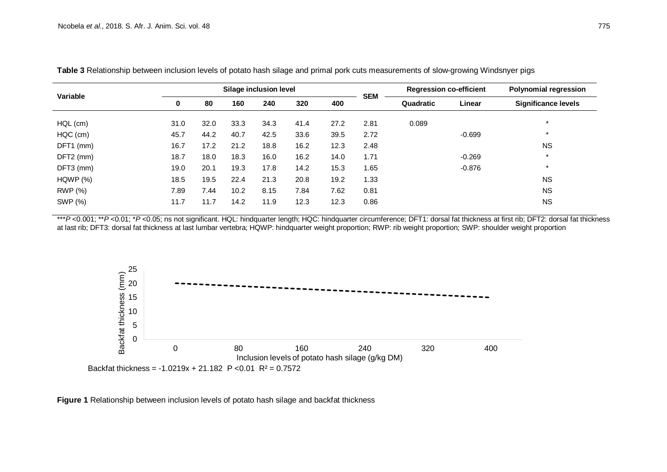| Variable       |      |      |      | Silage inclusion level |      |      |            | <b>Regression co-efficient</b> |          | <b>Polynomial regression</b> |  |
|----------------|------|------|------|------------------------|------|------|------------|--------------------------------|----------|------------------------------|--|
|                | 0    | 80   | 160  | 240                    | 320  | 400  | <b>SEM</b> | Quadratic                      | Linear   | <b>Significance levels</b>   |  |
| $HQL$ (cm)     | 31.0 | 32.0 | 33.3 | 34.3                   | 41.4 | 27.2 | 2.81       | 0.089                          |          | $\star$                      |  |
| HQC (cm)       | 45.7 | 44.2 | 40.7 | 42.5                   | 33.6 | 39.5 | 2.72       |                                | $-0.699$ | $\star$                      |  |
| DFT1 (mm)      | 16.7 | 17.2 | 21.2 | 18.8                   | 16.2 | 12.3 | 2.48       |                                |          | <b>NS</b>                    |  |
| DFT2 (mm)      | 18.7 | 18.0 | 18.3 | 16.0                   | 16.2 | 14.0 | 1.71       |                                | $-0.269$ | $\star$                      |  |
| DFT3 (mm)      | 19.0 | 20.1 | 19.3 | 17.8                   | 14.2 | 15.3 | 1.65       |                                | $-0.876$ | $\star$                      |  |
| HQWP(%)        | 18.5 | 19.5 | 22.4 | 21.3                   | 20.8 | 19.2 | 1.33       |                                |          | <b>NS</b>                    |  |
| <b>RWP</b> (%) | 7.89 | 7.44 | 10.2 | 8.15                   | 7.84 | 7.62 | 0.81       |                                |          | <b>NS</b>                    |  |
| SWP (%)        | 11.7 | 11.7 | 14.2 | 11.9                   | 12.3 | 12.3 | 0.86       |                                |          | <b>NS</b>                    |  |

**Table 3** Relationship between inclusion levels of potato hash silage and primal pork cuts measurements of slow-growing Windsnyer pigs

\*\*\**P* <0.001; \*\**P* <0.01; \**P* <0.05; ns not significant. HQL: hindquarter length; HQC: hindquarter circumference; DFT1: dorsal fat thickness at first rib; DFT2: dorsal fat thickness at last rib; DFT3: dorsal fat thickness at last lumbar vertebra; HQWP: hindquarter weight proportion; RWP: rib weight proportion; SWP: shoulder weight proportion



**Figure 1** Relationship between inclusion levels of potato hash silage and backfat thickness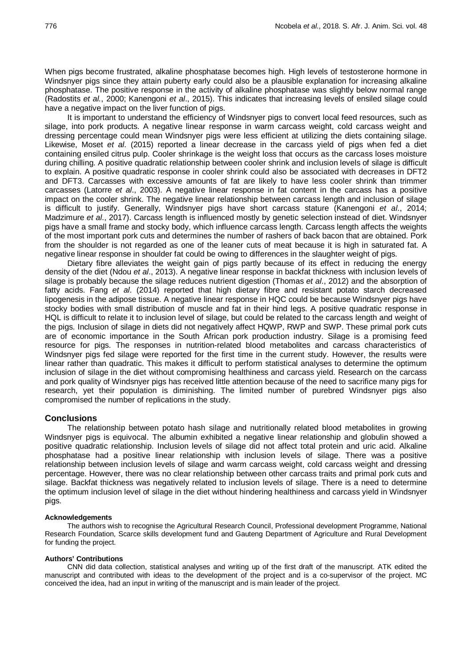When pigs become frustrated, alkaline phosphatase becomes high. High levels of testosterone hormone in Windsnyer pigs since they attain puberty early could also be a plausible explanation for increasing alkaline phosphatase. The positive response in the activity of alkaline phosphatase was slightly below normal range (Radostits *et al.*, 2000; Kanengoni *et al*., 2015). This indicates that increasing levels of ensiled silage could have a negative impact on the liver function of pigs.

It is important to understand the efficiency of Windsnyer pigs to convert local feed resources, such as silage, into pork products. A negative linear response in warm carcass weight, cold carcass weight and dressing percentage could mean Windsnyer pigs were less efficient at utilizing the diets containing silage. Likewise, Moset *et al*. (2015) reported a linear decrease in the carcass yield of pigs when fed a diet containing ensiled citrus pulp. Cooler shrinkage is the weight loss that occurs as the carcass loses moisture during chilling. A positive quadratic relationship between cooler shrink and inclusion levels of silage is difficult to explain. A positive quadratic response in cooler shrink could also be associated with decreases in DFT2 and DFT3. Carcasses with excessive amounts of fat are likely to have less cooler shrink than trimmer carcasses (Latorre *et al*., 2003). A negative linear response in fat content in the carcass has a positive impact on the cooler shrink. The negative linear relationship between carcass length and inclusion of silage is difficult to justify. Generally, Windsnyer pigs have short carcass stature (Kanengoni *et al*., 2014; Madzimure *et al*., 2017). Carcass length is influenced mostly by genetic selection instead of diet. Windsnyer pigs have a small frame and stocky body, which influence carcass length. Carcass length affects the weights of the most important pork cuts and determines the number of rashers of back bacon that are obtained. Pork from the shoulder is not regarded as one of the leaner cuts of meat because it is high in saturated fat. A negative linear response in shoulder fat could be owing to differences in the slaughter weight of pigs.

Dietary fibre alleviates the weight gain of pigs partly because of its effect in reducing the energy density of the diet (Ndou *et al*., 2013). A negative linear response in backfat thickness with inclusion levels of silage is probably because the silage reduces nutrient digestion (Thomas *et al*., 2012) and the absorption of fatty acids. Fang *et al*. (2014) reported that high dietary fibre and resistant potato starch decreased lipogenesis in the adipose tissue. A negative linear response in HQC could be because Windsnyer pigs have stocky bodies with small distribution of muscle and fat in their hind legs. A positive quadratic response in HQL is difficult to relate it to inclusion level of silage, but could be related to the carcass length and weight of the pigs. Inclusion of silage in diets did not negatively affect HQWP, RWP and SWP. These primal pork cuts are of economic importance in the South African pork production industry. Silage is a promising feed resource for pigs. The responses in nutrition-related blood metabolites and carcass characteristics of Windsnyer pigs fed silage were reported for the first time in the current study. However, the results were linear rather than quadratic. This makes it difficult to perform statistical analyses to determine the optimum inclusion of silage in the diet without compromising healthiness and carcass yield. Research on the carcass and pork quality of Windsnyer pigs has received little attention because of the need to sacrifice many pigs for research, yet their population is diminishing. The limited number of purebred Windsnyer pigs also compromised the number of replications in the study.

## **Conclusions**

The relationship between potato hash silage and nutritionally related blood metabolites in growing Windsnyer pigs is equivocal. The albumin exhibited a negative linear relationship and globulin showed a positive quadratic relationship. Inclusion levels of silage did not affect total protein and uric acid. Alkaline phosphatase had a positive linear relationship with inclusion levels of silage. There was a positive relationship between inclusion levels of silage and warm carcass weight, cold carcass weight and dressing percentage. However, there was no clear relationship between other carcass traits and primal pork cuts and silage. Backfat thickness was negatively related to inclusion levels of silage. There is a need to determine the optimum inclusion level of silage in the diet without hindering healthiness and carcass yield in Windsnyer pigs.

#### **Acknowledgements**

The authors wish to recognise the Agricultural Research Council, Professional development Programme, National Research Foundation, Scarce skills development fund and Gauteng Department of Agriculture and Rural Development for funding the project.

### **Authors' Contributions**

CNN did data collection, statistical analyses and writing up of the first draft of the manuscript. ATK edited the manuscript and contributed with ideas to the development of the project and is a co-supervisor of the project. MC conceived the idea, had an input in writing of the manuscript and is main leader of the project.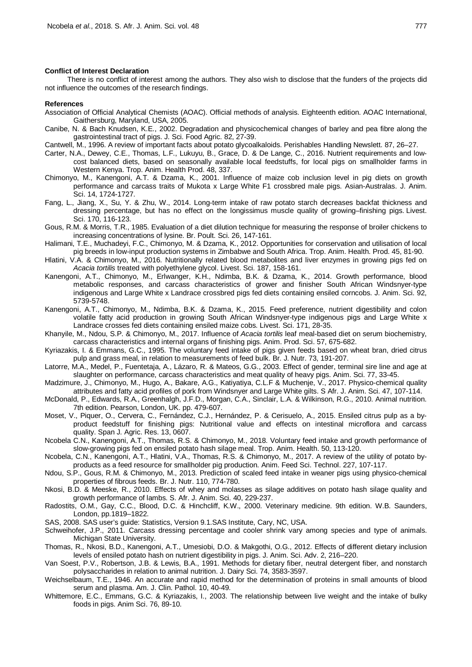#### **Conflict of Interest Declaration**

There is no conflict of interest among the authors. They also wish to disclose that the funders of the projects did not influence the outcomes of the research findings.

#### **References**

- Association of Official Analytical Chemists (AOAC). Official methods of analysis. Eighteenth edition. AOAC International, Gaithersburg, Maryland, USA, 2005.
- Canibe, N. & Bach Knudsen, K.E., 2002. Degradation and physicochemical changes of barley and pea fibre along the gastrointestinal tract of pigs. J. Sci. Food Agric. 82, 27-39.
- Cantwell, M., 1996. A review of important facts about potato glycoalkaloids. Perishables Handling Newslett. 87, 26–27.
- Carter, N.A., Dewey, C.E., Thomas, L.F., Lukuyu, B., Grace, D. & De Lange, C., 2016. Nutrient requirements and lowcost balanced diets, based on seasonally available local feedstuffs, for local pigs on smallholder farms in Western Kenya. Trop. Anim. Health Prod. 48, 337.
- Chimonyo, M., Kanengoni, A.T. & Dzama, K., 2001. Influence of maize cob inclusion level in pig diets on growth performance and carcass traits of Mukota x Large White F1 crossbred male pigs. Asian-Australas. J. Anim. Sci. 14, 1724-1727.
- Fang, L., Jiang, X., Su, Y. & Zhu, W., 2014. Long-term intake of raw potato starch decreases backfat thickness and dressing percentage, but has no effect on the longissimus muscle quality of growing–finishing pigs. Livest. Sci. 170, 116-123.
- Gous, R.M. & Morris, T.R., 1985. Evaluation of a diet dilution technique for measuring the response of broiler chickens to increasing concentrations of lysine. Br. Poult. Sci. 26, 147-161.
- Halimani, T.E., Muchadeyi, F.C., Chimonyo, M. & Dzama, K., 2012. Opportunities for conservation and utilisation of local pig breeds in low-input production systems in Zimbabwe and South Africa. Trop. Anim. Health. Prod. 45, 81-90.
- Hlatini, V.A. & Chimonyo, M., 2016. Nutritionally related blood metabolites and liver enzymes in growing pigs fed on *Acacia tortilis* treated with polyethylene glycol. Livest. Sci. 187, 158-161.
- Kanengoni, A.T., Chimonyo, M., Erlwanger, K.H., Ndimba, B.K. & Dzama, K., 2014. Growth performance, blood metabolic responses, and carcass characteristics of grower and finisher South African Windsnyer-type indigenous and Large White x Landrace crossbred pigs fed diets containing ensiled corncobs. J. Anim. Sci. 92, 5739-5748.
- Kanengoni, A.T., Chimonyo, M., Ndimba, B.K. & Dzama, K., 2015. Feed preference, nutrient digestibility and colon volatile fatty acid production in growing South African Windsnyer-type indigenous pigs and Large White x Landrace crosses fed diets containing ensiled maize cobs. Livest. Sci. 171, 28-35.
- Khanyile, M., Ndou, S.P. & Chimonyo, M., 2017. Influence of *Acacia tortilis* leaf meal-based diet on serum biochemistry, carcass characteristics and internal organs of finishing pigs. Anim. Prod. Sci. 57, 675-682.
- Kyriazakis, I. & Emmans, G.C., 1995. The voluntary feed intake of pigs given feeds based on wheat bran, dried citrus pulp and grass meal, in relation to measurements of feed bulk. Br. J. Nutr. 73, 191-207.
- Latorre, M.A., Medel, P., Fuentetaja, A., Lázaro, R. & Mateos, G.G., 2003. Effect of gender, terminal sire line and age at slaughter on performance, carcass characteristics and meat quality of heavy pigs. Anim. Sci. 77, 33-45.
- Madzimure, J., Chimonyo, M., Hugo, A., Bakare, A.G., Katiyatiya, C.L.F & Muchenje, V., 2017. Physico-chemical quality attributes and fatty acid profiles of pork from Windsnyer and Large White gilts. S Afr. J. Anim. Sci. 47, 107-114.
- McDonald, P., Edwards, R.A., Greenhalgh, J.F.D., Morgan, C.A., Sinclair, L.A. & Wilkinson, R.G., 2010. Animal nutrition. 7th edition. Pearson, London, UK. pp. 479-607.
- Moset, V., Piquer, O., Cervera, C., Fernández, C.J., Hernández, P. & Cerisuelo, A., 2015. Ensiled citrus pulp as a byproduct feedstuff for finishing pigs: Nutritional value and effects on intestinal microflora and carcass quality. Span J. Agric. Res. 13, 0607.
- Ncobela C.N., Kanengoni, A.T., Thomas, R.S. & Chimonyo, M., 2018. Voluntary feed intake and growth performance of slow-growing pigs fed on ensiled potato hash silage meal. Trop. Anim. Health. 50, 113-120.
- Ncobela, C.N., Kanengoni, A.T., Hlatini, V.A., Thomas, R.S. & Chimonyo, M., 2017. A review of the utility of potato byproducts as a feed resource for smallholder pig production. Anim. Feed Sci. Technol. 227, 107-117.
- Ndou, S.P., Gous, R.M. & Chimonyo, M., 2013. Prediction of scaled feed intake in weaner pigs using physico-chemical properties of fibrous feeds. Br. J. Nutr. 110, 774-780.
- Nkosi, B.D. & Meeske, R., 2010. Effects of whey and molasses as silage additives on potato hash silage quality and growth performance of lambs. S. Afr. J. Anim. Sci. 40, 229-237.
- Radostits, O.M., Gay, C.C., Blood, D.C. & Hinchcliff, K.W., 2000. Veterinary medicine. 9th edition. W.B. Saunders, London, pp.1819–1822.
- SAS, 2008. SAS user's guide: Statistics, Version 9.1.SAS Institute, Cary, NC, USA.
- Schweihofer, J.P., 2011. Carcass dressing percentage and cooler shrink vary among species and type of animals. Michigan State University.
- Thomas, R., Nkosi, B.D., Kanengoni, A.T., Umesiobi, D.O. & Makgothi, O.G., 2012. Effects of different dietary inclusion levels of ensiled potato hash on nutrient digestibility in pigs. J. Anim. Sci. Adv. 2, 216–220.
- Van Soest, P.V., Robertson, J.B. & Lewis, B.A., 1991. Methods for dietary fiber, neutral detergent fiber, and nonstarch polysaccharides in relation to animal nutrition. J. Dairy Sci. 74, 3583-3597.
- Weichselbaum, T.E., 1946. An accurate and rapid method for the determination of proteins in small amounts of blood serum and plasma. Am. J. Clin. Pathol. 10, 40-49.
- Whittemore, E.C., Emmans, G.C. & Kyriazakis, I., 2003. The relationship between live weight and the intake of bulky foods in pigs. Anim Sci. 76, 89-10.